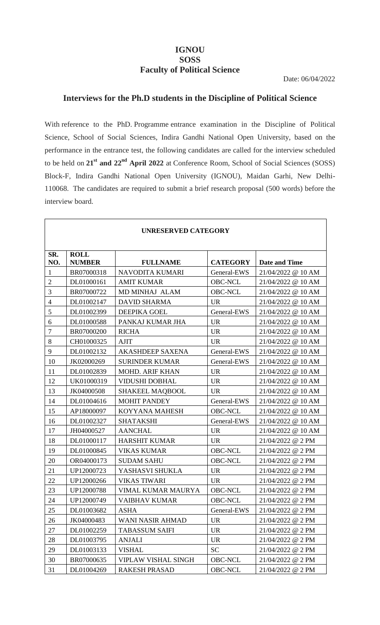# **IGNOU SOSS Faculty of Political Science**

## **Interviews for the Ph.D students in the Discipline of Political Science**

With reference to the PhD. Programme entrance examination in the Discipline of Political Science, School of Social Sciences, Indira Gandhi National Open University, based on the performance in the entrance test, the following candidates are called for the interview scheduled to be held on **21st and 22nd April 2022** at Conference Room, School of Social Sciences (SOSS) Block-F, Indira Gandhi National Open University (IGNOU), Maidan Garhi, New Delhi-110068. The candidates are required to submit a brief research proposal (500 words) before the interview board.

Г

| <b>UNRESERVED CATEGORY</b> |                              |                         |                 |                      |
|----------------------------|------------------------------|-------------------------|-----------------|----------------------|
| SR.<br>NO.                 | <b>ROLL</b><br><b>NUMBER</b> | <b>FULLNAME</b>         | <b>CATEGORY</b> | <b>Date and Time</b> |
| $\mathbf{1}$               | BR07000318                   | NAVODITA KUMARI         | General-EWS     | 21/04/2022 @ 10 AM   |
| $\overline{2}$             | DL01000161                   | <b>AMIT KUMAR</b>       | <b>OBC-NCL</b>  | 21/04/2022 @ 10 AM   |
| 3                          | BR07000722                   | MD MINHAJ ALAM          | <b>OBC-NCL</b>  | 21/04/2022 @ 10 AM   |
| $\overline{4}$             | DL01002147                   | <b>DAVID SHARMA</b>     | <b>UR</b>       | 21/04/2022 @ 10 AM   |
| 5                          | DL01002399                   | <b>DEEPIKA GOEL</b>     | General-EWS     | 21/04/2022 @ 10 AM   |
| 6                          | DL01000588                   | PANKAJ KUMAR JHA        | <b>UR</b>       | 21/04/2022 @ 10 AM   |
| $\overline{7}$             | BR07000200                   | <b>RICHA</b>            | <b>UR</b>       | 21/04/2022 @ 10 AM   |
| $8\,$                      | CH01000325                   | <b>AJIT</b>             | <b>UR</b>       | 21/04/2022 @ 10 AM   |
| 9                          | DL01002132                   | <b>AKASHDEEP SAXENA</b> | General-EWS     | 21/04/2022 @ 10 AM   |
| 10                         | JK02000269                   | <b>SURINDER KUMAR</b>   | General-EWS     | 21/04/2022 @ 10 AM   |
| 11                         | DL01002839                   | <b>MOHD. ARIF KHAN</b>  | <b>UR</b>       | 21/04/2022 @ 10 AM   |
| 12                         | UK01000319                   | <b>VIDUSHI DOBHAL</b>   | <b>UR</b>       | 21/04/2022 @ 10 AM   |
| 13                         | JK04000508                   | <b>SHAKEEL MAQBOOL</b>  | <b>UR</b>       | 21/04/2022 @ 10 AM   |
| 14                         | DL01004616                   | <b>MOHIT PANDEY</b>     | General-EWS     | 21/04/2022 @ 10 AM   |
| 15                         | AP18000097                   | KOYYANA MAHESH          | <b>OBC-NCL</b>  | 21/04/2022 @ 10 AM   |
| 16                         | DL01002327                   | <b>SHATAKSHI</b>        | General-EWS     | 21/04/2022 @ 10 AM   |
| 17                         | JH04000527                   | <b>AANCHAL</b>          | <b>UR</b>       | 21/04/2022 @ 10 AM   |
| 18                         | DL01000117                   | <b>HARSHIT KUMAR</b>    | <b>UR</b>       | 21/04/2022 @ 2 PM    |
| 19                         | DL01000845                   | <b>VIKAS KUMAR</b>      | <b>OBC-NCL</b>  | 21/04/2022 @ 2 PM    |
| 20                         | OR04000173                   | <b>SUDAM SAHU</b>       | <b>OBC-NCL</b>  | 21/04/2022 @ 2 PM    |
| 21                         | UP12000723                   | YASHASVI SHUKLA         | <b>UR</b>       | 21/04/2022 @ 2 PM    |
| 22                         | UP12000266                   | <b>VIKAS TIWARI</b>     | <b>UR</b>       | 21/04/2022 @ 2 PM    |
| 23                         | UP12000788                   | VIMAL KUMAR MAURYA      | <b>OBC-NCL</b>  | 21/04/2022 @ 2 PM    |
| 24                         | UP12000749                   | <b>VAIBHAV KUMAR</b>    | <b>OBC-NCL</b>  | 21/04/2022 @ 2 PM    |
| 25                         | DL01003682                   | <b>ASHA</b>             | General-EWS     | 21/04/2022 @ 2 PM    |
| 26                         | JK04000483                   | <b>WANI NASIR AHMAD</b> | <b>UR</b>       | 21/04/2022 @ 2 PM    |
| 27                         | DL01002259                   | <b>TABASSUM SAIFI</b>   | <b>UR</b>       | 21/04/2022 @ 2 PM    |
| 28                         | DL01003795                   | <b>ANJALI</b>           | <b>UR</b>       | 21/04/2022 @ 2 PM    |
| 29                         | DL01003133                   | <b>VISHAL</b>           | <b>SC</b>       | 21/04/2022 @ 2 PM    |
| 30                         | BR07000635                   | VIPLAW VISHAL SINGH     | <b>OBC-NCL</b>  | 21/04/2022 @ 2 PM    |
| 31                         | DL01004269                   | <b>RAKESH PRASAD</b>    | <b>OBC-NCL</b>  | 21/04/2022 @ 2 PM    |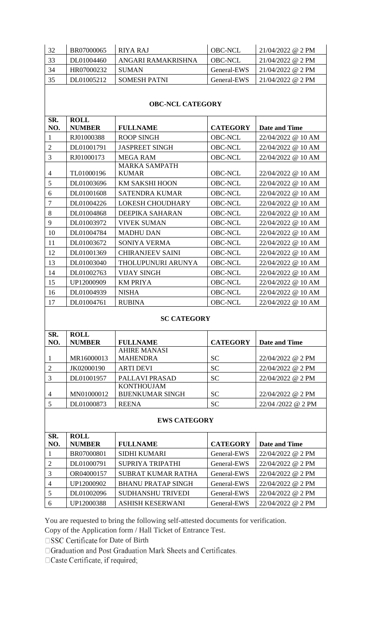| 32  | BR07000065 | RIYA RAJ           | <b>OBC-NCL</b> | $21/04/2022$ @ 2 PM |
|-----|------------|--------------------|----------------|---------------------|
| -33 | DL01004460 | ANGARI RAMAKRISHNA | OBC-NCL        | $21/04/2022$ @ 2 PM |
| 34  | HR07000232 | <b>SUMAN</b>       | General-EWS    | $21/04/2022$ @ 2 PM |
| 35  | DL01005212 | SOMESH PATNI       | General-EWS    | $21/04/2022$ @ 2 PM |

#### **OBC-NCL CATEGORY**

| SR.            | <b>ROLL</b>   |                         |                 |                      |
|----------------|---------------|-------------------------|-----------------|----------------------|
| NO.            | <b>NUMBER</b> | <b>FULLNAME</b>         | <b>CATEGORY</b> | <b>Date and Time</b> |
| 1              | RJ01000388    | <b>ROOP SINGH</b>       | <b>OBC-NCL</b>  | 22/04/2022 @ 10 AM   |
| $\overline{2}$ | DL01001791    | <b>JASPREET SINGH</b>   | <b>OBC-NCL</b>  | 22/04/2022 @ 10 AM   |
| 3              | RJ01000173    | <b>MEGA RAM</b>         | <b>OBC-NCL</b>  | 22/04/2022 @ 10 AM   |
|                |               | <b>MARKA SAMPATH</b>    |                 |                      |
| 4              | TL01000196    | <b>KUMAR</b>            | <b>OBC-NCL</b>  | 22/04/2022 @ 10 AM   |
| 5              | DL01003696    | KM SAKSHI HOON          | <b>OBC-NCL</b>  | 22/04/2022 @ 10 AM   |
| 6              | DL01001608    | <b>SATENDRA KUMAR</b>   | <b>OBC-NCL</b>  | 22/04/2022 @ 10 AM   |
| 7              | DL01004226    | <b>LOKESH CHOUDHARY</b> | <b>OBC-NCL</b>  | 22/04/2022 @ 10 AM   |
| 8              | DL01004868    | DEEPIKA SAHARAN         | <b>OBC-NCL</b>  | 22/04/2022 @ 10 AM   |
| 9              | DL01003972    | <b>VIVEK SUMAN</b>      | <b>OBC-NCL</b>  | 22/04/2022 @ 10 AM   |
| 10             | DL01004784    | <b>MADHU DAN</b>        | <b>OBC-NCL</b>  | 22/04/2022 @ 10 AM   |
| 11             | DL01003672    | SONIYA VERMA            | <b>OBC-NCL</b>  | 22/04/2022 @ 10 AM   |
| 12             | DL01001369    | <b>CHIRANJEEV SAINI</b> | <b>OBC-NCL</b>  | 22/04/2022 @ 10 AM   |
| 13             | DL01003040    | THOLUPUNURI ARUNYA      | <b>OBC-NCL</b>  | 22/04/2022 @ 10 AM   |
| 14             | DL01002763    | <b>VIJAY SINGH</b>      | <b>OBC-NCL</b>  | 22/04/2022 @ 10 AM   |
| 15             | UP12000909    | <b>KM PRIYA</b>         | <b>OBC-NCL</b>  | 22/04/2022 @ 10 AM   |
| 16             | DL01004939    | <b>NISHA</b>            | <b>OBC-NCL</b>  | 22/04/2022 @ 10 AM   |
| 17             | DL01004761    | <b>RUBINA</b>           | <b>OBC-NCL</b>  | 22/04/2022 @ 10 AM   |

#### **SC CATEGORY**

| SR.            | <b>ROLL</b>   |                         |                 |                   |
|----------------|---------------|-------------------------|-----------------|-------------------|
| NO.            | <b>NUMBER</b> | <b>FULLNAME</b>         | <b>CATEGORY</b> | Date and Time     |
|                |               | <b>AHIRE MANASI</b>     |                 |                   |
|                | MR16000013    | <b>MAHENDRA</b>         | <b>SC</b>       | 22/04/2022 @ 2 PM |
| 2              | JK02000190    | <b>ARTI DEVI</b>        | <b>SC</b>       | 22/04/2022 @ 2 PM |
|                | DL01001957    | PALLAVI PRASAD          | <b>SC</b>       | 22/04/2022 @ 2 PM |
|                |               | <b>KONTHOUJAM</b>       |                 |                   |
| $\overline{4}$ | MN01000012    | <b>BIJENKUMAR SINGH</b> | SC.             | 22/04/2022 @ 2 PM |
|                | DL01000873    | <b>REENA</b>            | <b>SC</b>       | 22/04/2022 @ 2 PM |

#### **EWS CATEGORY**

| SR.            | <b>ROLL</b>   |                           |                 |                      |
|----------------|---------------|---------------------------|-----------------|----------------------|
| NO.            | <b>NUMBER</b> | <b>FULLNAME</b>           | <b>CATEGORY</b> | <b>Date and Time</b> |
|                | BR07000801    | <b>SIDHI KUMARI</b>       | General-EWS     | $22/04/2022$ @ 2 PM  |
| 2              | DL01000791    | SUPRIYA TRIPATHI          | General-EWS     | $22/04/2022$ @ 2 PM  |
| 3              | OR04000157    | <b>SUBRAT KUMAR RATHA</b> | General-EWS     | $22/04/2022$ @ 2 PM  |
| $\overline{4}$ | UP12000902    | <b>BHANU PRATAP SINGH</b> | General-EWS     | 22/04/2022 @ 2 PM    |
|                | DL01002096    | <b>SUDHANSHU TRIVEDI</b>  | General-EWS     | 22/04/2022 @ 2 PM    |
| 6              | UP12000388    | <b>ASHISH KESERWANI</b>   | General-EWS     | 22/04/2022 @ 2 PM    |

You are requested to bring the following self-attested documents for verification.

Copy of the Application form / Hall Ticket of Entrance Test.

 $\square$  <br> SSC Certificate for Date of Birth

□ Graduation and Post Graduation Mark Sheets and Certificates.

□ Caste Certificate, if required;